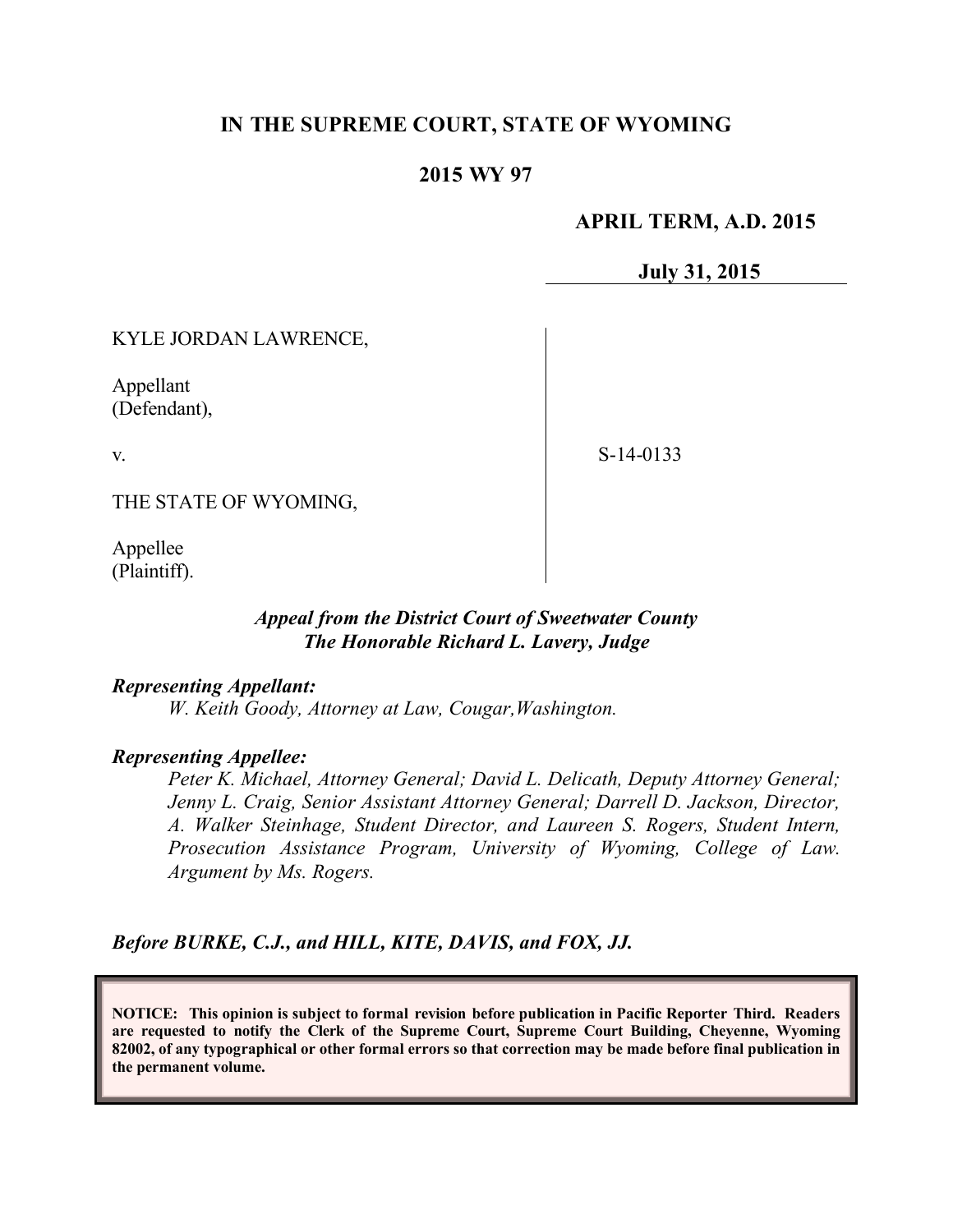# **IN THE SUPREME COURT, STATE OF WYOMING**

## **2015 WY 97**

## **APRIL TERM, A.D. 2015**

**July 31, 2015**

KYLE JORDAN LAWRENCE,

Appellant (Defendant),

v.

S-14-0133

THE STATE OF WYOMING,

Appellee (Plaintiff).

#### *Appeal from the District Court of Sweetwater County The Honorable Richard L. Lavery, Judge*

*Representing Appellant:*

*W. Keith Goody, Attorney at Law, Cougar,Washington.*

#### *Representing Appellee:*

*Peter K. Michael, Attorney General; David L. Delicath, Deputy Attorney General; Jenny L. Craig, Senior Assistant Attorney General; Darrell D. Jackson, Director, A. Walker Steinhage, Student Director, and Laureen S. Rogers, Student Intern, Prosecution Assistance Program, University of Wyoming, College of Law. Argument by Ms. Rogers.*

*Before BURKE, C.J., and HILL, KITE, DAVIS, and FOX, JJ.*

**NOTICE: This opinion is subject to formal revision before publication in Pacific Reporter Third. Readers are requested to notify the Clerk of the Supreme Court, Supreme Court Building, Cheyenne, Wyoming 82002, of any typographical or other formal errors so that correction may be made before final publication in the permanent volume.**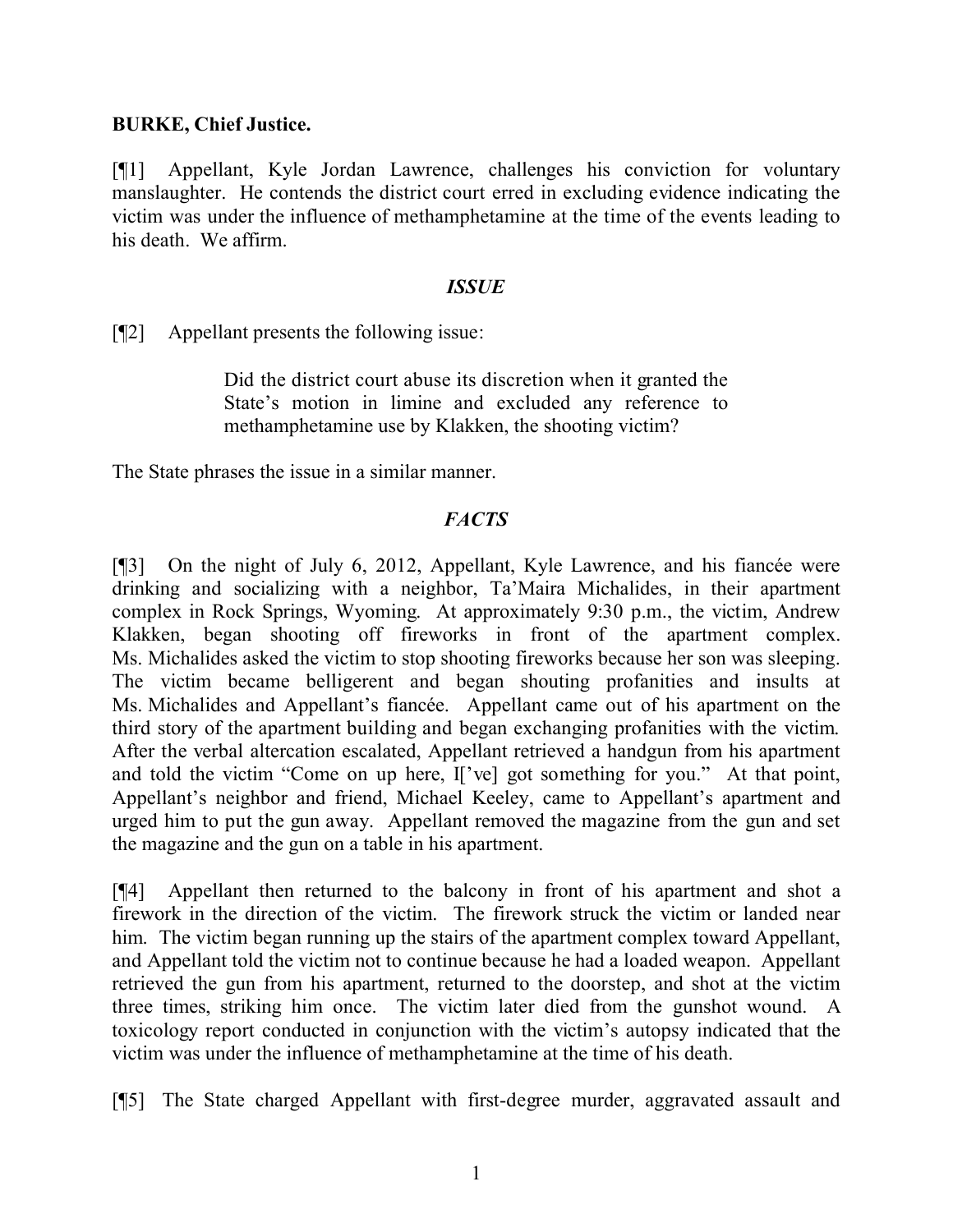### **BURKE, Chief Justice.**

[¶1] Appellant, Kyle Jordan Lawrence, challenges his conviction for voluntary manslaughter. He contends the district court erred in excluding evidence indicating the victim was under the influence of methamphetamine at the time of the events leading to his death. We affirm.

#### *ISSUE*

[¶2] Appellant presents the following issue:

Did the district court abuse its discretion when it granted the State's motion in limine and excluded any reference to methamphetamine use by Klakken, the shooting victim?

The State phrases the issue in a similar manner.

# *FACTS*

[¶3] On the night of July 6, 2012, Appellant, Kyle Lawrence, and his fiancée were drinking and socializing with a neighbor, Ta'Maira Michalides, in their apartment complex in Rock Springs, Wyoming. At approximately 9:30 p.m., the victim, Andrew Klakken, began shooting off fireworks in front of the apartment complex. Ms. Michalides asked the victim to stop shooting fireworks because her son was sleeping. The victim became belligerent and began shouting profanities and insults at Ms. Michalides and Appellant's fiancée. Appellant came out of his apartment on the third story of the apartment building and began exchanging profanities with the victim. After the verbal altercation escalated, Appellant retrieved a handgun from his apartment and told the victim "Come on up here, I['ve] got something for you." At that point, Appellant's neighbor and friend, Michael Keeley, came to Appellant's apartment and urged him to put the gun away. Appellant removed the magazine from the gun and set the magazine and the gun on a table in his apartment.

[¶4] Appellant then returned to the balcony in front of his apartment and shot a firework in the direction of the victim. The firework struck the victim or landed near him. The victim began running up the stairs of the apartment complex toward Appellant, and Appellant told the victim not to continue because he had a loaded weapon. Appellant retrieved the gun from his apartment, returned to the doorstep, and shot at the victim three times, striking him once. The victim later died from the gunshot wound. A toxicology report conducted in conjunction with the victim's autopsy indicated that the victim was under the influence of methamphetamine at the time of his death.

[¶5] The State charged Appellant with first-degree murder, aggravated assault and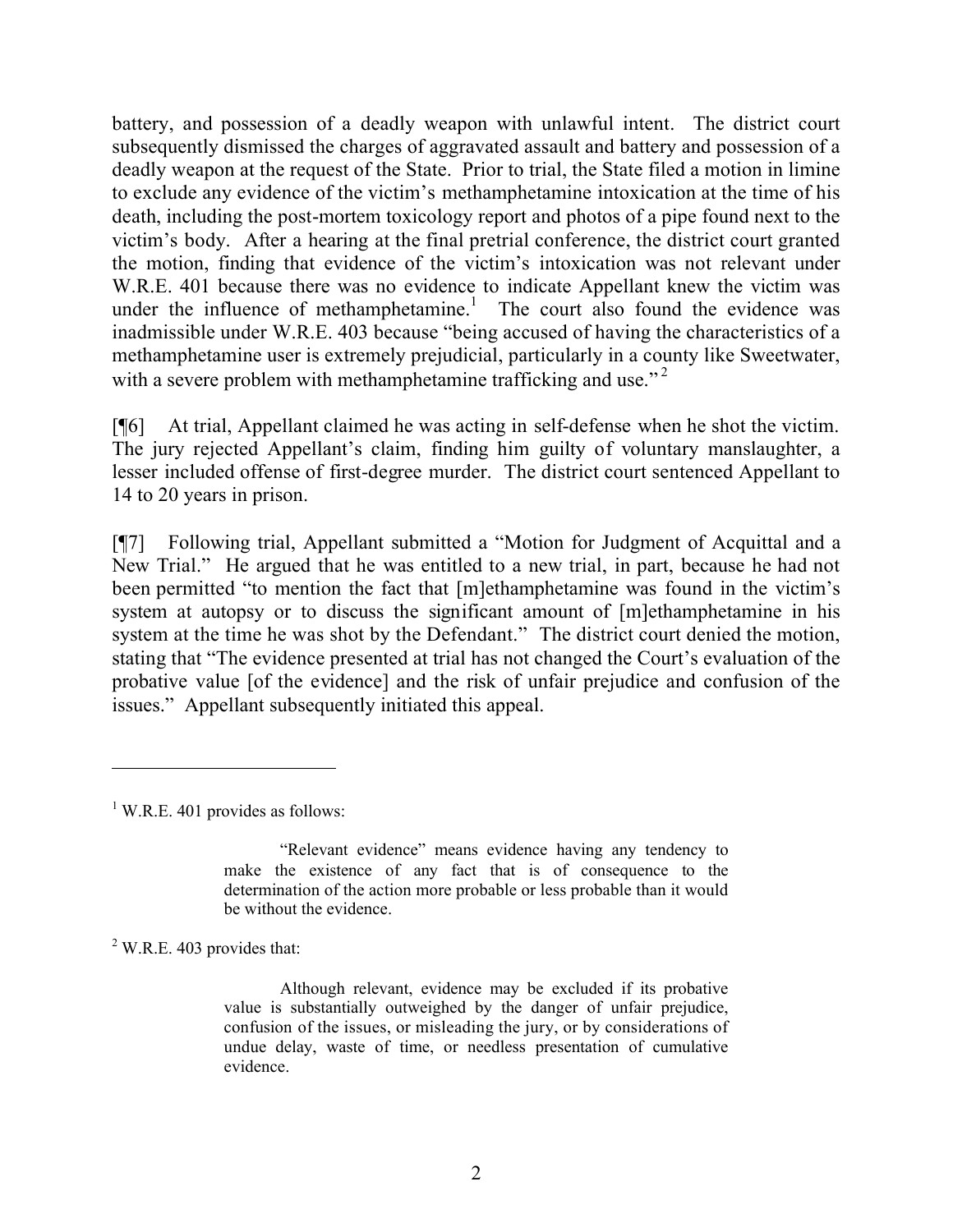battery, and possession of a deadly weapon with unlawful intent. The district court subsequently dismissed the charges of aggravated assault and battery and possession of a deadly weapon at the request of the State. Prior to trial, the State filed a motion in limine to exclude any evidence of the victim's methamphetamine intoxication at the time of his death, including the post-mortem toxicology report and photos of a pipe found next to the victim's body. After a hearing at the final pretrial conference, the district court granted the motion, finding that evidence of the victim's intoxication was not relevant under W.R.E. 401 because there was no evidence to indicate Appellant knew the victim was under the influence of methamphetamine.<sup>1</sup> The court also found the evidence was inadmissible under W.R.E. 403 because "being accused of having the characteristics of a methamphetamine user is extremely prejudicial, particularly in a county like Sweetwater, with a severe problem with methamphetamine trafficking and use."<sup>2</sup>

[¶6] At trial, Appellant claimed he was acting in self-defense when he shot the victim. The jury rejected Appellant's claim, finding him guilty of voluntary manslaughter, a lesser included offense of first-degree murder. The district court sentenced Appellant to 14 to 20 years in prison.

[¶7] Following trial, Appellant submitted a "Motion for Judgment of Acquittal and a New Trial." He argued that he was entitled to a new trial, in part, because he had not been permitted "to mention the fact that [m]ethamphetamine was found in the victim's system at autopsy or to discuss the significant amount of [m]ethamphetamine in his system at the time he was shot by the Defendant." The district court denied the motion, stating that "The evidence presented at trial has not changed the Court's evaluation of the probative value [of the evidence] and the risk of unfair prejudice and confusion of the issues." Appellant subsequently initiated this appeal.

 $2$  W.R.E. 403 provides that:

 $1$  W.R.E. 401 provides as follows:

<sup>&</sup>quot;Relevant evidence" means evidence having any tendency to make the existence of any fact that is of consequence to the determination of the action more probable or less probable than it would be without the evidence.

Although relevant, evidence may be excluded if its probative value is substantially outweighed by the danger of unfair prejudice, confusion of the issues, or misleading the jury, or by considerations of undue delay, waste of time, or needless presentation of cumulative evidence.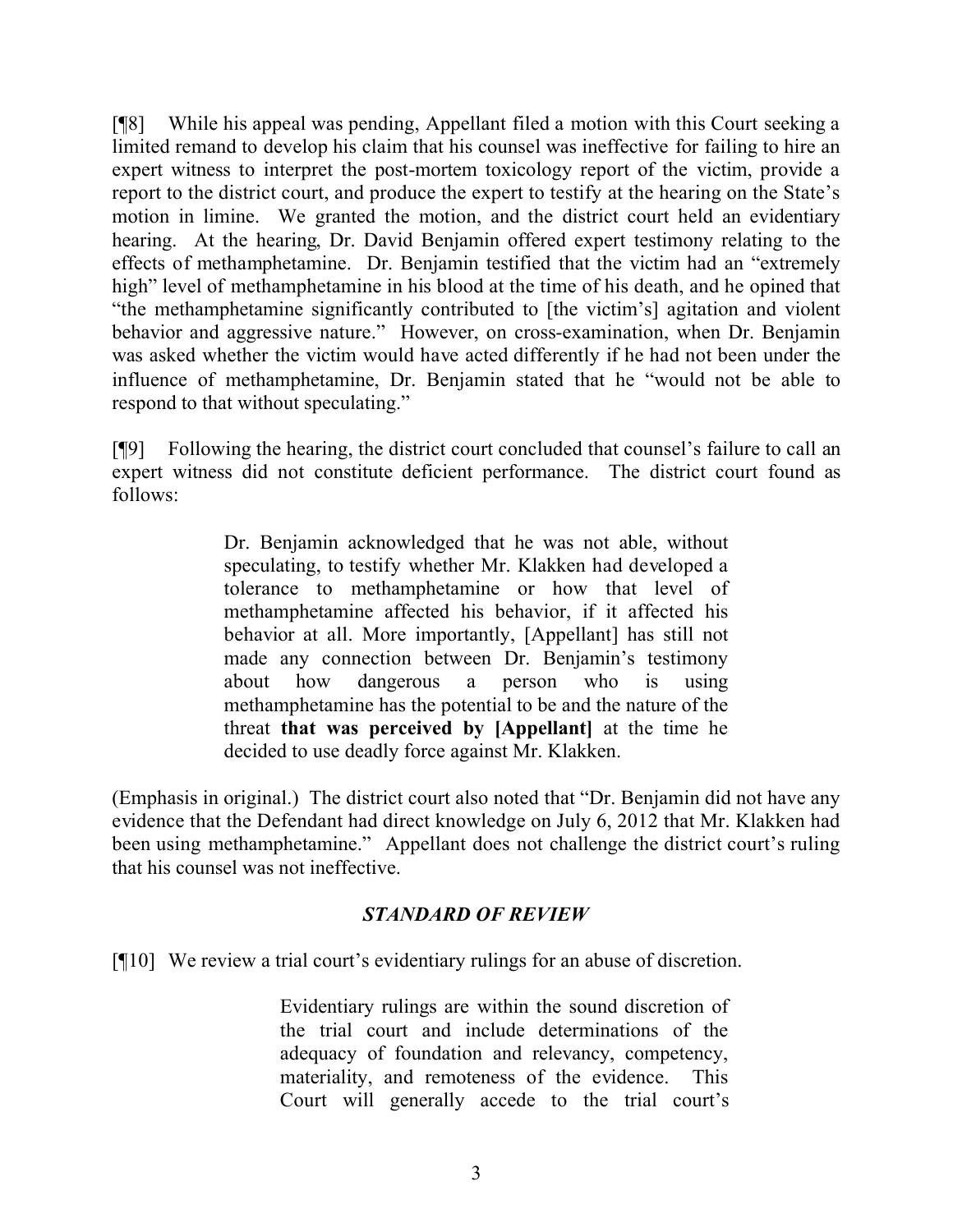[¶8] While his appeal was pending, Appellant filed a motion with this Court seeking a limited remand to develop his claim that his counsel was ineffective for failing to hire an expert witness to interpret the post-mortem toxicology report of the victim, provide a report to the district court, and produce the expert to testify at the hearing on the State's motion in limine. We granted the motion, and the district court held an evidentiary hearing. At the hearing, Dr. David Benjamin offered expert testimony relating to the effects of methamphetamine. Dr. Benjamin testified that the victim had an "extremely high" level of methamphetamine in his blood at the time of his death, and he opined that "the methamphetamine significantly contributed to [the victim's] agitation and violent behavior and aggressive nature." However, on cross-examination, when Dr. Benjamin was asked whether the victim would have acted differently if he had not been under the influence of methamphetamine, Dr. Benjamin stated that he "would not be able to respond to that without speculating."

[¶9] Following the hearing, the district court concluded that counsel's failure to call an expert witness did not constitute deficient performance. The district court found as follows:

> Dr. Benjamin acknowledged that he was not able, without speculating, to testify whether Mr. Klakken had developed a tolerance to methamphetamine or how that level of methamphetamine affected his behavior, if it affected his behavior at all. More importantly, [Appellant] has still not made any connection between Dr. Benjamin's testimony about how dangerous a person who is using methamphetamine has the potential to be and the nature of the threat **that was perceived by [Appellant]** at the time he decided to use deadly force against Mr. Klakken.

(Emphasis in original.) The district court also noted that "Dr. Benjamin did not have any evidence that the Defendant had direct knowledge on July 6, 2012 that Mr. Klakken had been using methamphetamine." Appellant does not challenge the district court's ruling that his counsel was not ineffective.

# *STANDARD OF REVIEW*

[¶10] We review a trial court's evidentiary rulings for an abuse of discretion.

Evidentiary rulings are within the sound discretion of the trial court and include determinations of the adequacy of foundation and relevancy, competency, materiality, and remoteness of the evidence. This Court will generally accede to the trial court's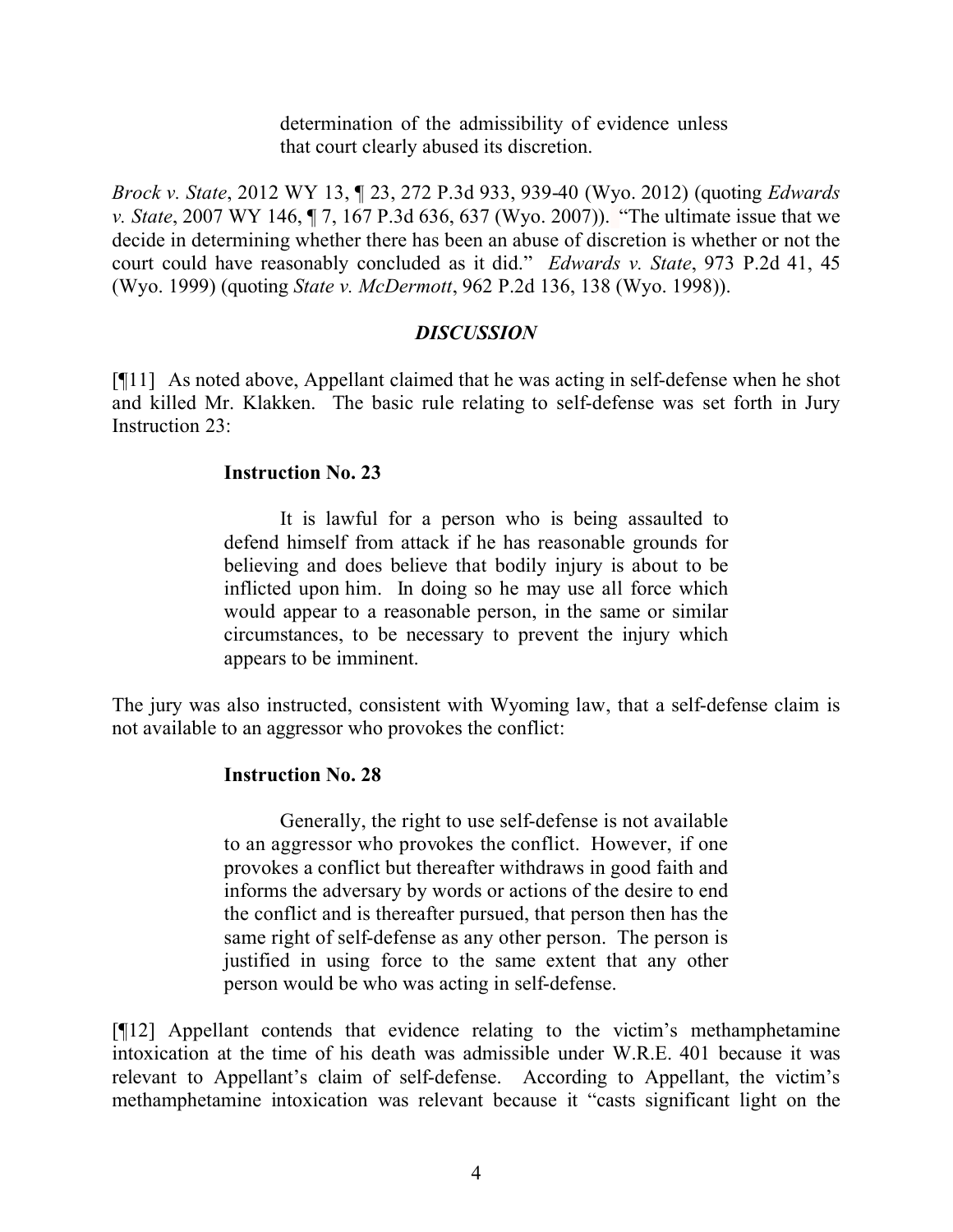determination of the admissibility of evidence unless that court clearly abused its discretion.

*Brock v. State*, 2012 WY 13, ¶ 23, 272 P.3d 933, 939-40 (Wyo. 2012) (quoting *Edwards v. State*, 2007 WY 146, ¶ 7, 167 P.3d 636, 637 (Wyo. 2007)). "The ultimate issue that we decide in determining whether there has been an abuse of discretion is whether or not the court could have reasonably concluded as it did." *Edwards v. State*, 973 P.2d 41, 45 (Wyo. 1999) (quoting *State v. McDermott*, 962 P.2d 136, 138 (Wyo. 1998)).

## *DISCUSSION*

[¶11] As noted above, Appellant claimed that he was acting in self-defense when he shot and killed Mr. Klakken. The basic rule relating to self-defense was set forth in Jury Instruction 23:

## **Instruction No. 23**

It is lawful for a person who is being assaulted to defend himself from attack if he has reasonable grounds for believing and does believe that bodily injury is about to be inflicted upon him. In doing so he may use all force which would appear to a reasonable person, in the same or similar circumstances, to be necessary to prevent the injury which appears to be imminent.

The jury was also instructed, consistent with Wyoming law, that a self-defense claim is not available to an aggressor who provokes the conflict:

# **Instruction No. 28**

Generally, the right to use self-defense is not available to an aggressor who provokes the conflict. However, if one provokes a conflict but thereafter withdraws in good faith and informs the adversary by words or actions of the desire to end the conflict and is thereafter pursued, that person then has the same right of self-defense as any other person. The person is justified in using force to the same extent that any other person would be who was acting in self-defense.

[¶12] Appellant contends that evidence relating to the victim's methamphetamine intoxication at the time of his death was admissible under W.R.E. 401 because it was relevant to Appellant's claim of self-defense. According to Appellant, the victim's methamphetamine intoxication was relevant because it "casts significant light on the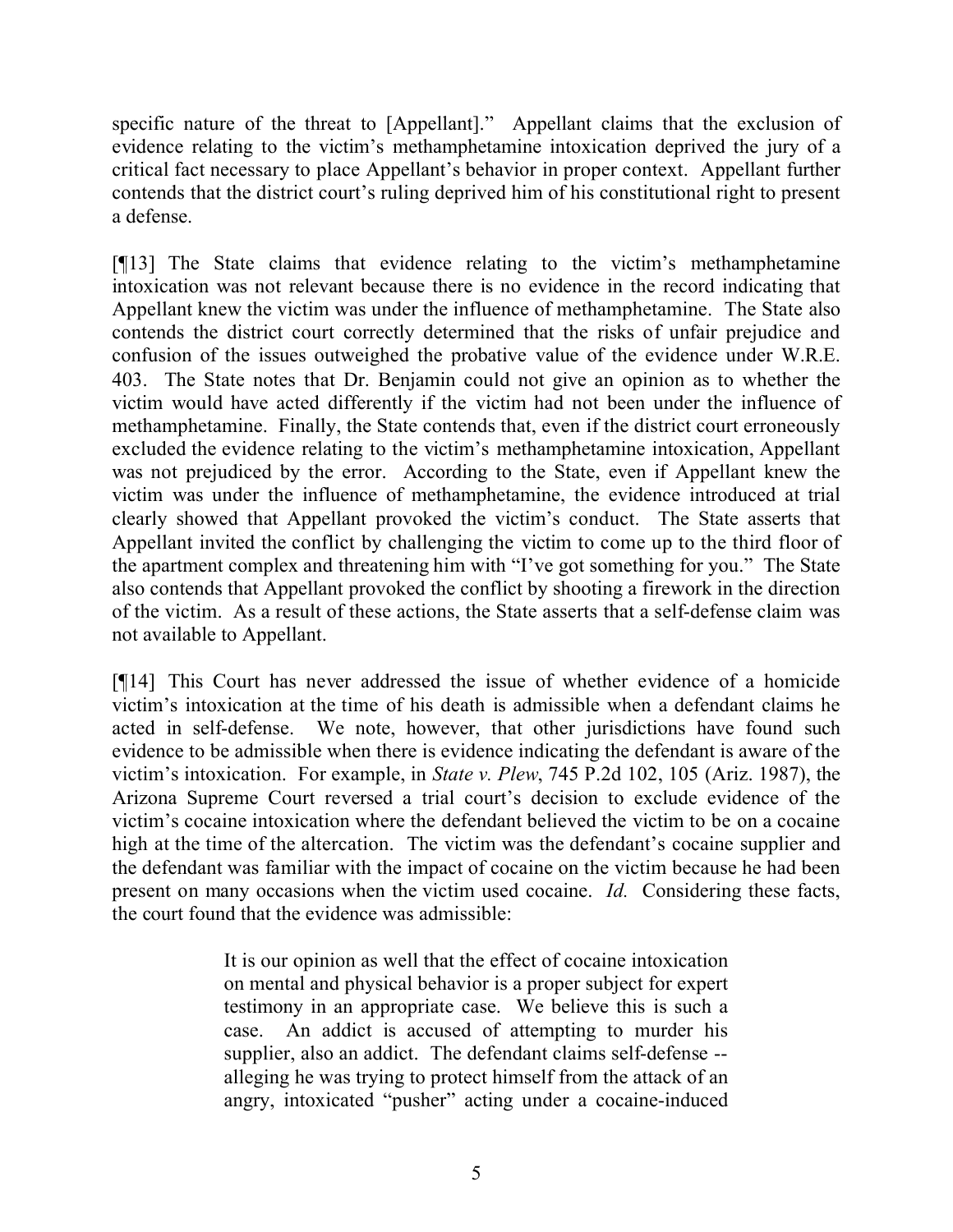specific nature of the threat to [Appellant]." Appellant claims that the exclusion of evidence relating to the victim's methamphetamine intoxication deprived the jury of a critical fact necessary to place Appellant's behavior in proper context. Appellant further contends that the district court's ruling deprived him of his constitutional right to present a defense.

[¶13] The State claims that evidence relating to the victim's methamphetamine intoxication was not relevant because there is no evidence in the record indicating that Appellant knew the victim was under the influence of methamphetamine. The State also contends the district court correctly determined that the risks of unfair prejudice and confusion of the issues outweighed the probative value of the evidence under W.R.E. 403. The State notes that Dr. Benjamin could not give an opinion as to whether the victim would have acted differently if the victim had not been under the influence of methamphetamine. Finally, the State contends that, even if the district court erroneously excluded the evidence relating to the victim's methamphetamine intoxication, Appellant was not prejudiced by the error. According to the State, even if Appellant knew the victim was under the influence of methamphetamine, the evidence introduced at trial clearly showed that Appellant provoked the victim's conduct. The State asserts that Appellant invited the conflict by challenging the victim to come up to the third floor of the apartment complex and threatening him with "I've got something for you." The State also contends that Appellant provoked the conflict by shooting a firework in the direction of the victim. As a result of these actions, the State asserts that a self-defense claim was not available to Appellant.

[¶14] This Court has never addressed the issue of whether evidence of a homicide victim's intoxication at the time of his death is admissible when a defendant claims he acted in self-defense. We note, however, that other jurisdictions have found such evidence to be admissible when there is evidence indicating the defendant is aware of the victim's intoxication. For example, in *State v. Plew*, 745 P.2d 102, 105 (Ariz. 1987), the Arizona Supreme Court reversed a trial court's decision to exclude evidence of the victim's cocaine intoxication where the defendant believed the victim to be on a cocaine high at the time of the altercation. The victim was the defendant's cocaine supplier and the defendant was familiar with the impact of cocaine on the victim because he had been present on many occasions when the victim used cocaine. *Id.* Considering these facts, the court found that the evidence was admissible:

> It is our opinion as well that the effect of cocaine intoxication on mental and physical behavior is a proper subject for expert testimony in an appropriate case. We believe this is such a case. An addict is accused of attempting to murder his supplier, also an addict. The defendant claims self-defense - alleging he was trying to protect himself from the attack of an angry, intoxicated "pusher" acting under a cocaine-induced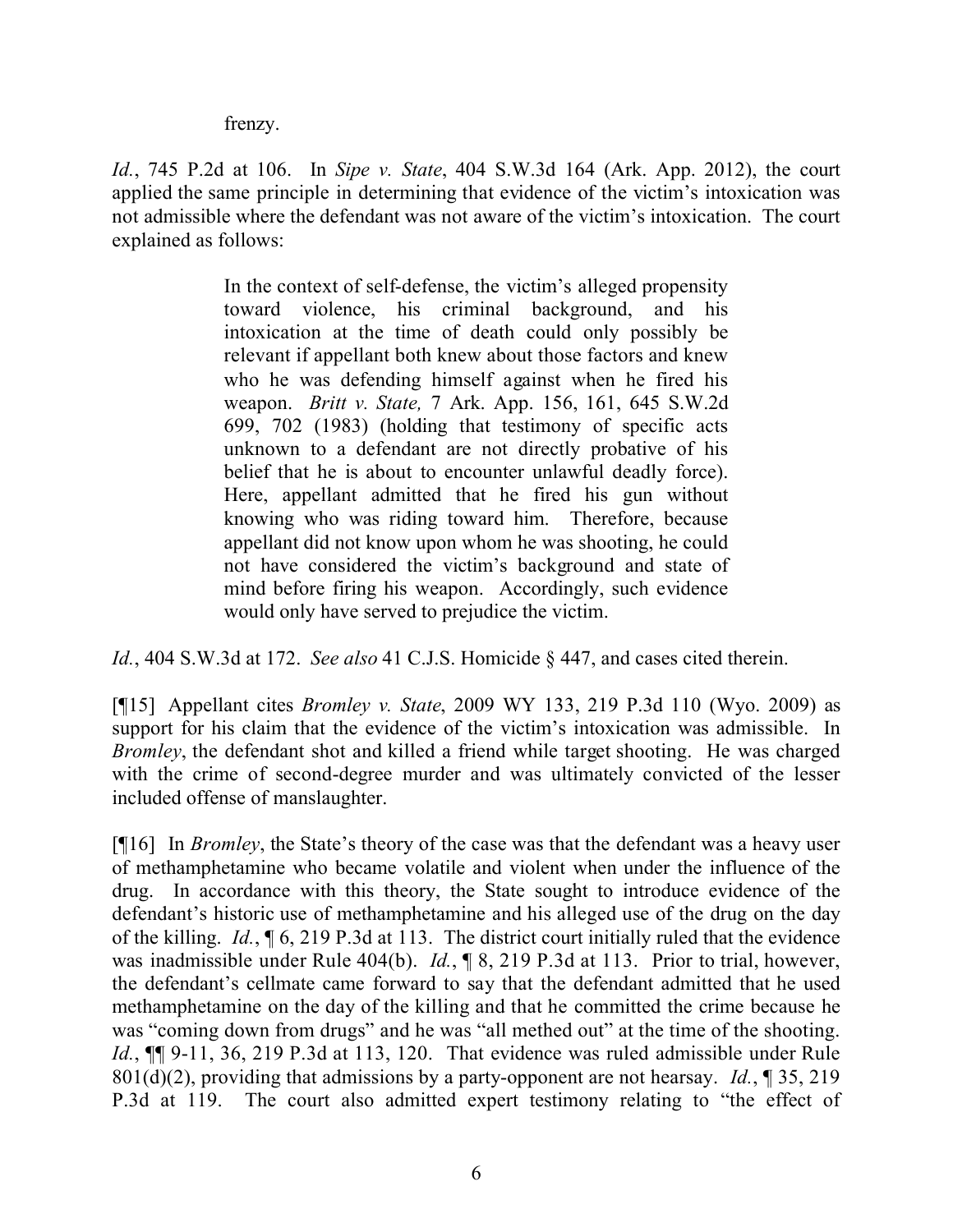frenzy.

*Id.*, 745 P.2d at 106. In *Sipe v. State*, 404 S.W.3d 164 (Ark. App. 2012), the court applied the same principle in determining that evidence of the victim's intoxication was not admissible where the defendant was not aware of the victim's intoxication. The court explained as follows:

> In the context of self-defense, the victim's alleged propensity toward violence, his criminal background, and his intoxication at the time of death could only possibly be relevant if appellant both knew about those factors and knew who he was defending himself against when he fired his weapon. *Britt v. State,* 7 Ark. App. 156, 161, 645 S.W.2d 699, 702 (1983) (holding that testimony of specific acts unknown to a defendant are not directly probative of his belief that he is about to encounter unlawful deadly force). Here, appellant admitted that he fired his gun without knowing who was riding toward him. Therefore, because appellant did not know upon whom he was shooting, he could not have considered the victim's background and state of mind before firing his weapon. Accordingly, such evidence would only have served to prejudice the victim.

*Id.*, 404 S.W.3d at 172. *See also* 41 C.J.S. Homicide § 447, and cases cited therein.

[¶15] Appellant cites *Bromley v. State*, 2009 WY 133, 219 P.3d 110 (Wyo. 2009) as support for his claim that the evidence of the victim's intoxication was admissible. In *Bromley*, the defendant shot and killed a friend while target shooting. He was charged with the crime of second-degree murder and was ultimately convicted of the lesser included offense of manslaughter.

[¶16] In *Bromley*, the State's theory of the case was that the defendant was a heavy user of methamphetamine who became volatile and violent when under the influence of the drug. In accordance with this theory, the State sought to introduce evidence of the defendant's historic use of methamphetamine and his alleged use of the drug on the day of the killing. *Id.*, ¶ 6, 219 P.3d at 113. The district court initially ruled that the evidence was inadmissible under Rule 404(b). *Id.*, ¶ 8, 219 P.3d at 113. Prior to trial, however, the defendant's cellmate came forward to say that the defendant admitted that he used methamphetamine on the day of the killing and that he committed the crime because he was "coming down from drugs" and he was "all methed out" at the time of the shooting. *Id.*, ¶¶ 9-11, 36, 219 P.3d at 113, 120. That evidence was ruled admissible under Rule 801(d)(2), providing that admissions by a party-opponent are not hearsay. *Id.*, ¶ 35, 219 P.3d at 119. The court also admitted expert testimony relating to "the effect of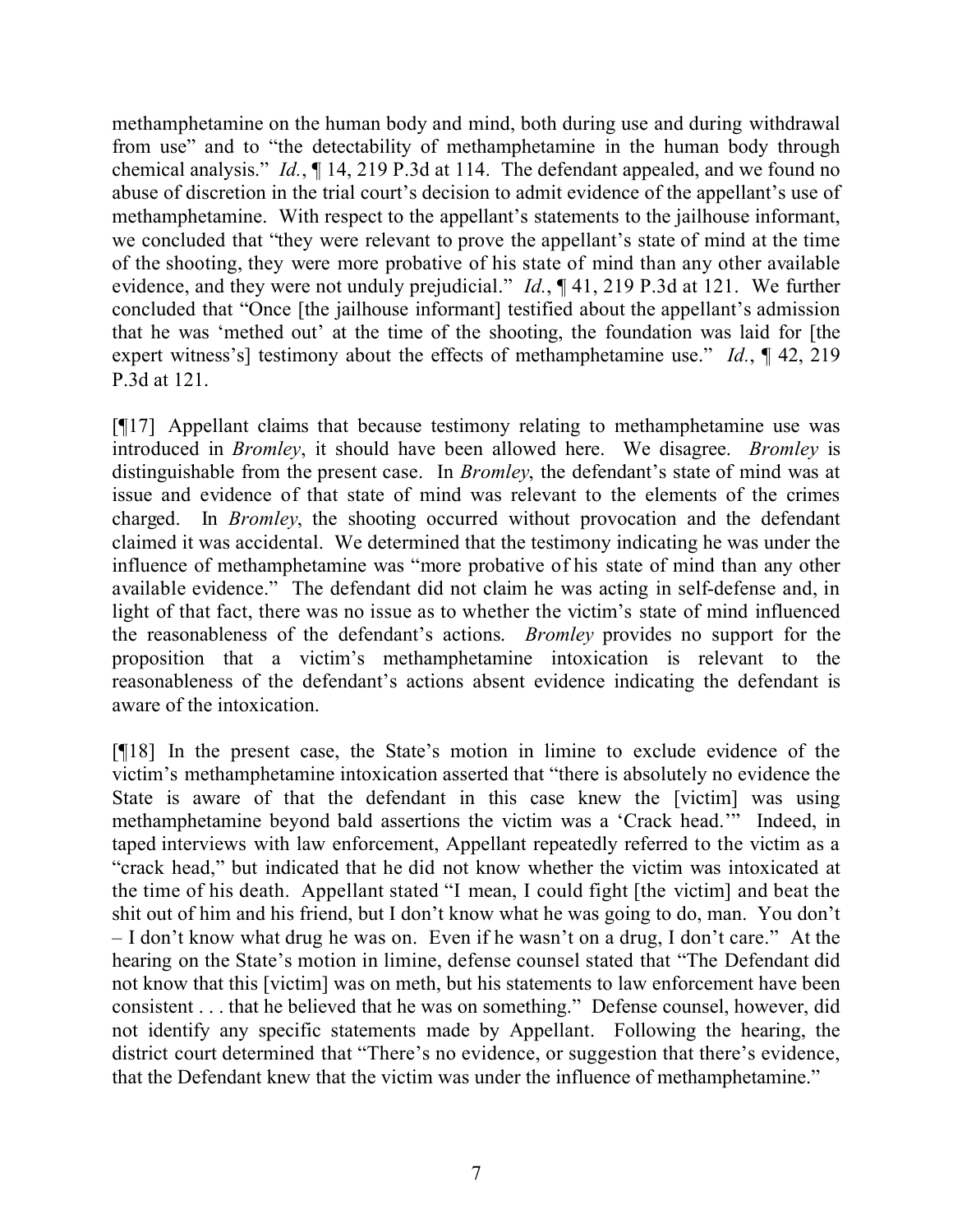methamphetamine on the human body and mind, both during use and during withdrawal from use" and to "the detectability of methamphetamine in the human body through chemical analysis." *Id.*, ¶ 14, 219 P.3d at 114. The defendant appealed, and we found no abuse of discretion in the trial court's decision to admit evidence of the appellant's use of methamphetamine. With respect to the appellant's statements to the jailhouse informant, we concluded that "they were relevant to prove the appellant's state of mind at the time of the shooting, they were more probative of his state of mind than any other available evidence, and they were not unduly prejudicial." *Id.*, ¶ 41, 219 P.3d at 121. We further concluded that "Once [the jailhouse informant] testified about the appellant's admission that he was 'methed out' at the time of the shooting, the foundation was laid for [the expert witness's] testimony about the effects of methamphetamine use." *Id.*, ¶ 42, 219 P.3d at 121.

[¶17] Appellant claims that because testimony relating to methamphetamine use was introduced in *Bromley*, it should have been allowed here. We disagree. *Bromley* is distinguishable from the present case. In *Bromley*, the defendant's state of mind was at issue and evidence of that state of mind was relevant to the elements of the crimes charged. In *Bromley*, the shooting occurred without provocation and the defendant claimed it was accidental. We determined that the testimony indicating he was under the influence of methamphetamine was "more probative of his state of mind than any other available evidence." The defendant did not claim he was acting in self-defense and, in light of that fact, there was no issue as to whether the victim's state of mind influenced the reasonableness of the defendant's actions. *Bromley* provides no support for the proposition that a victim's methamphetamine intoxication is relevant to the reasonableness of the defendant's actions absent evidence indicating the defendant is aware of the intoxication.

[¶18] In the present case, the State's motion in limine to exclude evidence of the victim's methamphetamine intoxication asserted that "there is absolutely no evidence the State is aware of that the defendant in this case knew the [victim] was using methamphetamine beyond bald assertions the victim was a 'Crack head.'" Indeed, in taped interviews with law enforcement, Appellant repeatedly referred to the victim as a "crack head," but indicated that he did not know whether the victim was intoxicated at the time of his death. Appellant stated "I mean, I could fight [the victim] and beat the shit out of him and his friend, but I don't know what he was going to do, man. You don't – I don't know what drug he was on. Even if he wasn't on a drug, I don't care." At the hearing on the State's motion in limine, defense counsel stated that "The Defendant did not know that this [victim] was on meth, but his statements to law enforcement have been consistent . . . that he believed that he was on something." Defense counsel, however, did not identify any specific statements made by Appellant. Following the hearing, the district court determined that "There's no evidence, or suggestion that there's evidence, that the Defendant knew that the victim was under the influence of methamphetamine."